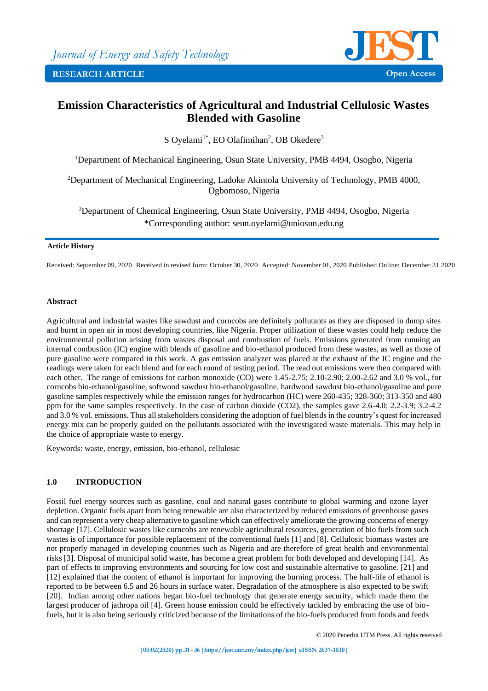

# **Emission Characteristics of Agricultural and Industrial Cellulosic Wastes Blended with Gasoline**

S Oyelami<sup>1\*</sup>, EO Olafimihan<sup>2</sup>, OB Okedere<sup>3</sup>

<sup>1</sup>Department of Mechanical Engineering, Osun State University, PMB 4494, Osogbo, Nigeria

<sup>2</sup>Department of Mechanical Engineering, Ladoke Akintola University of Technology, PMB 4000, Ogbomoso, Nigeria

<sup>3</sup>Department of Chemical Engineering, Osun State University, PMB 4494, Osogbo, Nigeria \*Corresponding author: seun.oyelami@uniosun.edu.ng

### **Article History**

Received: September 09, 2020 Received in revised form: October 30, 2020 Accepted: November 01, 2020 Published Online: December 31 2020

### **Abstract**

Agricultural and industrial wastes like sawdust and corncobs are definitely pollutants as they are disposed in dump sites and burnt in open air in most developing countries, like Nigeria. Proper utilization of these wastes could help reduce the environmental pollution arising from wastes disposal and combustion of fuels. Emissions generated from running an internal combustion (IC) engine with blends of gasoline and bio-ethanol produced from these wastes, as well as those of pure gasoline were compared in this work. A gas emission analyzer was placed at the exhaust of the IC engine and the readings were taken for each blend and for each round of testing period. The read out emissions were then compared with each other. The range of emissions for carbon monoxide (CO) were 1.45-2.75; 2.10-2.90; 2.00-2.62 and 3.0 % vol., for corncobs bio-ethanol/gasoline, softwood sawdust bio-ethanol/gasoline, hardwood sawdust bio-ethanol/gasoline and pure gasoline samples respectively while the emission ranges for hydrocarbon (HC) were 260-435; 328-360; 313-350 and 480 ppm for the same samples respectively. In the case of carbon dioxide (CO2), the samples gave 2.6-4.0; 2.2-3.9; 3.2-4.2 and 3.0 % vol. emissions. Thus all stakeholders considering the adoption of fuel blends in the country's quest for increased energy mix can be properly guided on the pollutants associated with the investigated waste materials. This may help in the choice of appropriate waste to energy.

Keywords: waste, energy, emission, bio-ethanol, cellulosic

## **1.0 INTRODUCTION**

Fossil fuel energy sources such as gasoline, coal and natural gases contribute to global warming and ozone layer depletion. Organic fuels apart from being renewable are also characterized by reduced emissions of greenhouse gases and can represent a very cheap alternative to gasoline which can effectively ameliorate the growing concerns of energy shortage [17]. Cellulosic wastes like corncobs are renewable agricultural resources, generation of bio fuels from such wastes is of importance for possible replacement of the conventional fuels [1] and [8]. Cellulosic biomass wastes are not properly managed in developing countries such as Nigeria and are therefore of great health and environmental risks [3]. Disposal of municipal solid waste, has become a great problem for both developed and developing [14]. As part of effects to improving environments and sourcing for low cost and sustainable alternative to gasoline. [21] and [12] explained that the content of ethanol is important for improving the burning process. The half-life of ethanol is reported to be between 6.5 and 26 hours in surface water. Degradation of the atmosphere is also expected to be swift [20]. Indian among other nations began bio-fuel technology that generate energy security, which made them the largest producer of jathropa oil [4]. Green house emission could be effectively tackled by embracing the use of biofuels, but it is also being seriously criticized because of the limitations of the bio-fuels produced from foods and feeds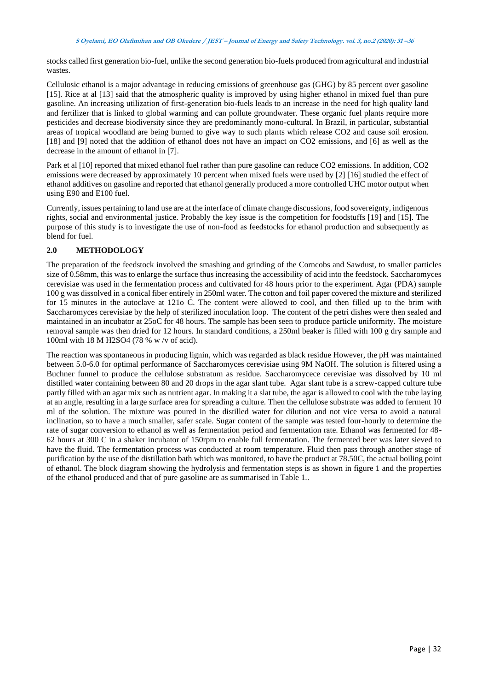stocks called first generation bio-fuel, unlike the second generation bio-fuels produced from agricultural and industrial wastes.

Cellulosic ethanol is a major advantage in reducing emissions of greenhouse gas (GHG) by 85 percent over gasoline [15]. Rice at al [13] said that the atmospheric quality is improved by using higher ethanol in mixed fuel than pure gasoline. An increasing utilization of first-generation bio-fuels leads to an increase in the need for high quality land and fertilizer that is linked to global warming and can pollute groundwater. These organic fuel plants require more pesticides and decrease biodiversity since they are predominantly mono-cultural. In Brazil, in particular, substantial areas of tropical woodland are being burned to give way to such plants which release CO2 and cause soil erosion. [18] and [9] noted that the addition of ethanol does not have an impact on CO2 emissions, and [6] as well as the decrease in the amount of ethanol in [7].

Park et al [10] reported that mixed ethanol fuel rather than pure gasoline can reduce CO2 emissions. In addition, CO2 emissions were decreased by approximately 10 percent when mixed fuels were used by [2] [16] studied the effect of ethanol additives on gasoline and reported that ethanol generally produced a more controlled UHC motor output when using E90 and E100 fuel.

Currently, issues pertaining to land use are at the interface of climate change discussions, food sovereignty, indigenous rights, social and environmental justice. Probably the key issue is the competition for foodstuffs [19] and [15]. The purpose of this study is to investigate the use of non-food as feedstocks for ethanol production and subsequently as blend for fuel.

## **2.0 METHODOLOGY**

The preparation of the feedstock involved the smashing and grinding of the Corncobs and Sawdust, to smaller particles size of 0.58mm, this was to enlarge the surface thus increasing the accessibility of acid into the feedstock. Saccharomyces cerevisiae was used in the fermentation process and cultivated for 48 hours prior to the experiment. Agar (PDA) sample 100 g was dissolved in a conical fiber entirely in 250ml water. The cotton and foil paper covered the mixture and sterilized for 15 minutes in the autoclave at 121o C. The content were allowed to cool, and then filled up to the brim with Saccharomyces cerevisiae by the help of sterilized inoculation loop. The content of the petri dishes were then sealed and maintained in an incubator at 25oC for 48 hours. The sample has been seen to produce particle uniformity. The moisture removal sample was then dried for 12 hours. In standard conditions, a 250ml beaker is filled with 100 g dry sample and 100ml with 18 M H2SO4 (78 % w /v of acid).

The reaction was spontaneous in producing lignin, which was regarded as black residue However, the pH was maintained between 5.0-6.0 for optimal performance of Saccharomyces cerevisiae using 9M NaOH. The solution is filtered using a Buchner funnel to produce the cellulose substratum as residue. Saccharomycece cerevisiae was dissolved by 10 ml distilled water containing between 80 and 20 drops in the agar slant tube. Agar slant tube is a screw-capped culture tube partly filled with an agar mix such as nutrient agar. In making it a slat tube, the agar is allowed to cool with the tube laying at an angle, resulting in a large surface area for spreading a culture. Then the cellulose substrate was added to ferment 10 ml of the solution. The mixture was poured in the distilled water for dilution and not vice versa to avoid a natural inclination, so to have a much smaller, safer scale. Sugar content of the sample was tested four-hourly to determine the rate of sugar conversion to ethanol as well as fermentation period and fermentation rate. Ethanol was fermented for 48- 62 hours at 300 C in a shaker incubator of 150rpm to enable full fermentation. The fermented beer was later sieved to have the fluid. The fermentation process was conducted at room temperature. Fluid then pass through another stage of purification by the use of the distillation bath which was monitored, to have the product at 78.50C, the actual boiling point of ethanol. The block diagram showing the hydrolysis and fermentation steps is as shown in figure 1 and the properties of the ethanol produced and that of pure gasoline are as summarised in Table 1..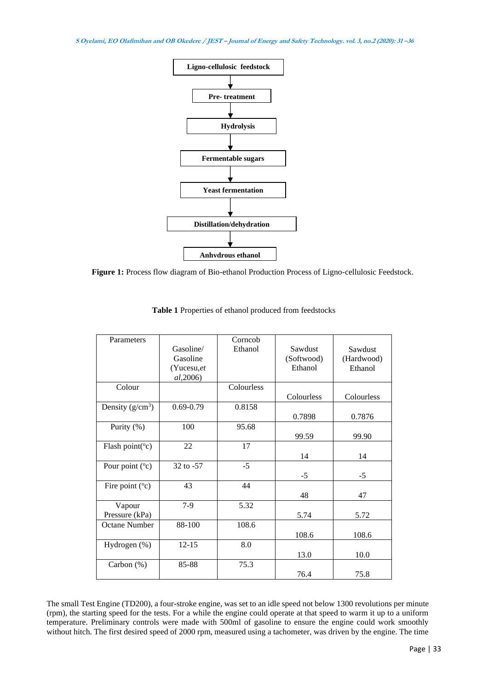**S Oyelami, EO Olafimihan and OB Okedere / JEST – Journal of Energy and Safety Technology. vol. 3, no.2 (2020): <sup>31</sup> –36**



**Figure 1:** Process flow diagram of Bio-ethanol Production Process of Ligno-cellulosic Feedstock.

| Parameters                 |               | Corncob    |            |            |
|----------------------------|---------------|------------|------------|------------|
|                            | Gasoline/     | Ethanol    | Sawdust    | Sawdust    |
|                            | Gasoline      |            | (Softwood) | (Hardwood) |
|                            | (Yuccsu,et    |            | Ethanol    | Ethanol    |
|                            | al, 2006)     |            |            |            |
| Colour                     |               | Colourless |            |            |
|                            |               |            | Colourless | Colourless |
| Density $(g/cm^3)$         | $0.69 - 0.79$ | 0.8158     |            |            |
|                            |               |            | 0.7898     | 0.7876     |
| Purity $(\%)$              | 100           | 95.68      |            |            |
|                            |               |            | 99.59      | 99.90      |
| Flash point( $\rm ^{o}c$ ) | 22            | 17         |            |            |
|                            |               |            | 14         | 14         |
| Pour point (°c)            | 32 to -57     | $-5$       |            |            |
|                            |               |            | $-5$       | $-5$       |
| Fire point $(°c)$          | 43            | 44         |            |            |
|                            |               |            | 48         | 47         |
| Vapour                     | $7-9$         | 5.32       |            |            |
| Pressure (kPa)             |               |            | 5.74       | 5.72       |
| <b>Octane Number</b>       | 88-100        | 108.6      |            |            |
|                            |               |            | 108.6      | 108.6      |
| Hydrogen (%)               | $12 - 15$     | 8.0        |            |            |
|                            |               |            | 13.0       | 10.0       |
| Carbon $(\%)$              | 85-88         | 75.3       |            |            |
|                            |               |            | 76.4       | 75.8       |

**Table 1** Properties of ethanol produced from feedstocks

The small Test Engine (TD200), a four-stroke engine, was set to an idle speed not below 1300 revolutions per minute (rpm), the starting speed for the tests. For a while the engine could operate at that speed to warm it up to a uniform temperature. Preliminary controls were made with 500ml of gasoline to ensure the engine could work smoothly without hitch. The first desired speed of 2000 rpm, measured using a tachometer, was driven by the engine. The time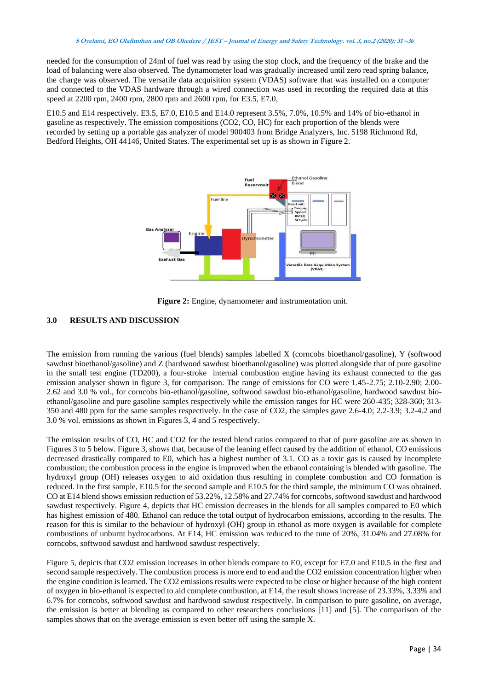needed for the consumption of 24ml of fuel was read by using the stop clock, and the frequency of the brake and the load of balancing were also observed. The dynamometer load was gradually increased until zero read spring balance, the charge was observed. The versatile data acquisition system (VDAS) software that was installed on a computer and connected to the VDAS hardware through a wired connection was used in recording the required data at this speed at 2200 rpm, 2400 rpm, 2800 rpm and 2600 rpm, for E3.5, E7.0,

E10.5 and E14 respectively. E3.5, E7.0, E10.5 and E14.0 represent 3.5%, 7.0%, 10.5% and 14% of bio-ethanol in gasoline as respectively. The emission compositions (CO2, CO, HC) for each proportion of the blends were recorded by setting up a portable gas analyzer of model 900403 from Bridge Analyzers, Inc. 5198 Richmond Rd, Bedford Heights, OH 44146, United States. The experimental set up is as shown in Figure 2.



Figure 2: Engine, dynamometer and instrumentation unit.

## **3.0 RESULTS AND DISCUSSION**

The emission from running the various (fuel blends) samples labelled X (corncobs bioethanol/gasoline), Y (softwood sawdust bioethanol/gasoline) and Z (hardwood sawdust bioethanol/gasoline) was plotted alongside that of pure gasoline in the small test engine (TD200), a four-stroke internal combustion engine having its exhaust connected to the gas emission analyser shown in figure 3, for comparison. The range of emissions for CO were 1.45-2.75; 2.10-2.90; 2.00- 2.62 and 3.0 % vol., for corncobs bio-ethanol/gasoline, softwood sawdust bio-ethanol/gasoline, hardwood sawdust bioethanol/gasoline and pure gasoline samples respectively while the emission ranges for HC were 260-435; 328-360; 313- 350 and 480 ppm for the same samples respectively. In the case of CO2, the samples gave 2.6-4.0; 2.2-3.9; 3.2-4.2 and 3.0 % vol. emissions as shown in Figures 3, 4 and 5 respectively.

The emission results of CO, HC and CO2 for the tested blend ratios compared to that of pure gasoline are as shown in Figures 3 to 5 below. Figure 3, shows that, because of the leaning effect caused by the addition of ethanol, CO emissions decreased drastically compared to E0, which has a highest number of 3.1. CO as a toxic gas is caused by incomplete combustion; the combustion process in the engine is improved when the ethanol containing is blended with gasoline. The hydroxyl group (OH) releases oxygen to aid oxidation thus resulting in complete combustion and CO formation is reduced. In the first sample, E10.5 for the second sample and E10.5 for the third sample, the minimum CO was obtained. CO at E14 blend shows emission reduction of 53.22%, 12.58% and 27.74% for corncobs, softwood sawdust and hardwood sawdust respectively. Figure 4, depicts that HC emission decreases in the blends for all samples compared to E0 which has highest emission of 480. Ethanol can reduce the total output of hydrocarbon emissions, according to the results. The reason for this is similar to the behaviour of hydroxyl (OH) group in ethanol as more oxygen is available for complete combustions of unburnt hydrocarbons. At E14, HC emission was reduced to the tune of 20%, 31.04% and 27.08% for corncobs, softwood sawdust and hardwood sawdust respectively.

Figure 5, depicts that CO2 emission increases in other blends compare to E0, except for E7.0 and E10.5 in the first and second sample respectively. The combustion process is more end to end and the CO2 emission concentration higher when the engine condition is learned. The CO2 emissions results were expected to be close or higher because of the high content of oxygen in bio-ethanol is expected to aid complete combustion, at E14, the result shows increase of 23.33%, 3.33% and 6.7% for corncobs, softwood sawdust and hardwood sawdust respectively. In comparison to pure gasoline, on average, the emission is better at blending as compared to other researchers conclusions [11] and [5]. The comparison of the samples shows that on the average emission is even better off using the sample X.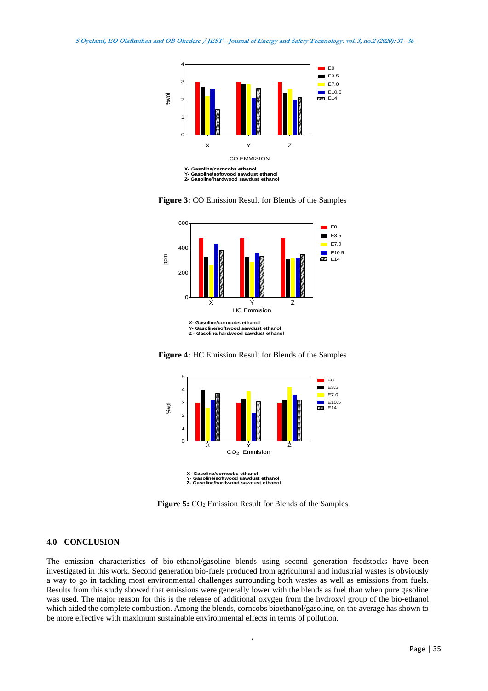

**Figure 3:** CO Emission Result for Blends of the Samples



**Figure 4:** HC Emission Result for Blends of the Samples



**Y- Gasoline/softwood sawdust ethanol Z- Gasoline/hardwood sawdust ethanol**

Figure 5:  $CO<sub>2</sub>$  Emission Result for Blends of the Samples

## **4.0 CONCLUSION**

The emission characteristics of bio-ethanol/gasoline blends using second generation feedstocks have been investigated in this work. Second generation bio-fuels produced from agricultural and industrial wastes is obviously a way to go in tackling most environmental challenges surrounding both wastes as well as emissions from fuels. Results from this study showed that emissions were generally lower with the blends as fuel than when pure gasoline was used. The major reason for this is the release of additional oxygen from the hydroxyl group of the bio-ethanol which aided the complete combustion. Among the blends, corncobs bioethanol/gasoline, on the average has shown to be more effective with maximum sustainable environmental effects in terms of pollution.

**.**